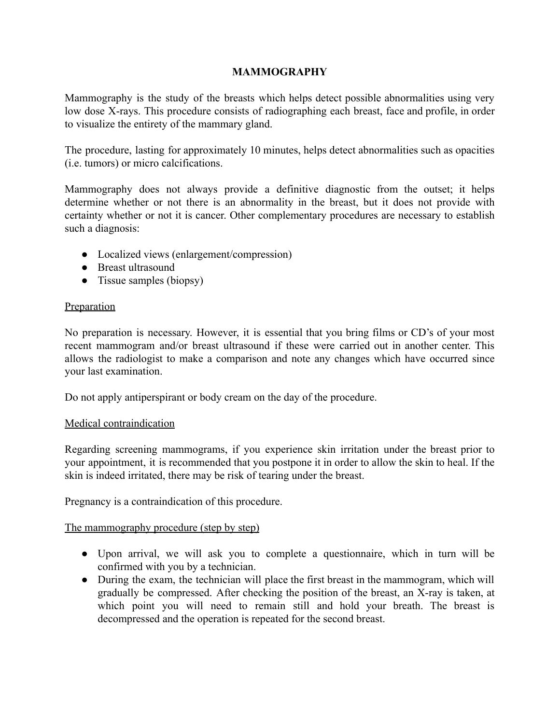## **MAMMOGRAPHY**

Mammography is the study of the breasts which helps detect possible abnormalities using very low dose X-rays. This procedure consists of radiographing each breast, face and profile, in order to visualize the entirety of the mammary gland.

The procedure, lasting for approximately 10 minutes, helps detect abnormalities such as opacities (i.e. tumors) or micro calcifications.

Mammography does not always provide a definitive diagnostic from the outset; it helps determine whether or not there is an abnormality in the breast, but it does not provide with certainty whether or not it is cancer. Other complementary procedures are necessary to establish such a diagnosis:

- Localized views (enlargement/compression)
- Breast ultrasound
- Tissue samples (biopsy)

#### **Preparation**

No preparation is necessary. However, it is essential that you bring films or CD's of your most recent mammogram and/or breast ultrasound if these were carried out in another center. This allows the radiologist to make a comparison and note any changes which have occurred since your last examination.

Do not apply antiperspirant or body cream on the day of the procedure.

## Medical contraindication

Regarding screening mammograms, if you experience skin irritation under the breast prior to your appointment, it is recommended that you postpone it in order to allow the skin to heal. If the skin is indeed irritated, there may be risk of tearing under the breast.

Pregnancy is a contraindication of this procedure.

## The mammography procedure (step by step)

- Upon arrival, we will ask you to complete a questionnaire, which in turn will be confirmed with you by a technician.
- During the exam, the technician will place the first breast in the mammogram, which will gradually be compressed. After checking the position of the breast, an X-ray is taken, at which point you will need to remain still and hold your breath. The breast is decompressed and the operation is repeated for the second breast.